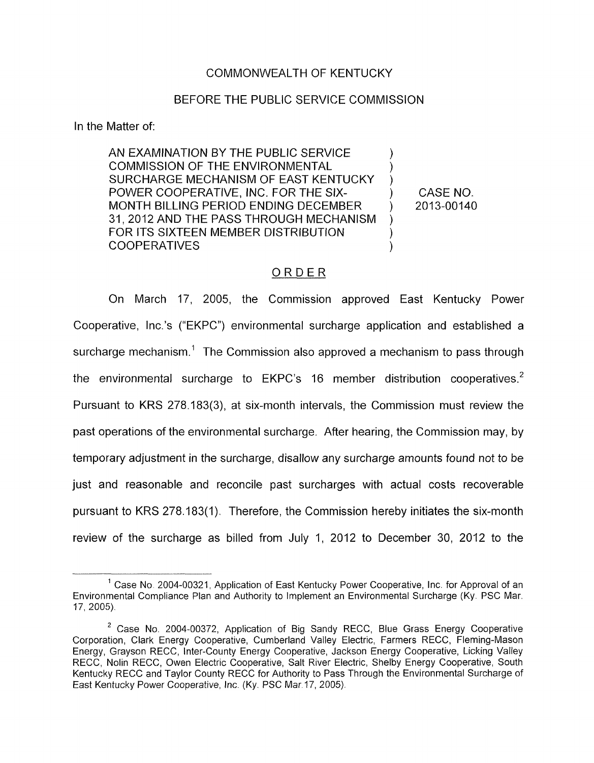### COMMONWEALTH OF KENTUCKY

#### BEFORE THE PUBLIC SERVICE COMMISSION

In the Matter of:

AN EXAMINATION BY THE PUBLIC SERVICE COMMISSION OF THE ENVIRONMENTAL SURCHARGE MECHANISM OF EAST KENTUCKY MONTH BILLING PERIOD ENDING DECEMBER 31 , 2012 AND THE PASS THROUGH MECHANISM FOR ITS SIXTEEN MEMBER DISTRIBUTION COOPERATIVES POWER COOPERATIVE, INC. FOR THE SIX- ) ) ) ) 1 )

CASE NO. ) 2013-00140

### ORDER

On March 17, 2005, the Commission approved East Kentucky Power Cooperative, Inc.'s ("EKPC") environmental surcharge application and established a surcharge mechanism.<sup>1</sup> The Commission also approved a mechanism to pass through the environmental surcharge to  $E$ KPC's 16 member distribution cooperatives.<sup>2</sup> Pursuant to KRS 278.183(3), at six-month intervals, the Commission must review the past operations of the environmental surcharge. After hearing, the Commission may, by temporary adjustment in the surcharge, disallow any surcharge amounts found not to be just and reasonable and reconcile past surcharges with actual costs recoverable pursuant to KRS 278.183( 1). Therefore, the Commission hereby initiates the six-month review of the surcharge as billed from July I, 2012 to December 30, 2012 to the

<sup>&</sup>lt;sup>1</sup> Case No. 2004-00321, Application of East Kentucky Power Cooperative, Inc. for Approval of an Environmental Compliance Plan and Authority to Implement an Environmental Surcharge (Ky. PSC Mar. 17, 2005).

<sup>&</sup>lt;sup>2</sup> Case No. 2004-00372, Application of Big Sandy RECC, Blue Grass Energy Cooperative Corporation, Clark Energy Cooperative, Cumberland Valley Electric, Farmers RECC, Fleming-Mason Energy, Grayson RECC, Inter-County Energy Cooperative, Jackson Energy Cooperative, Licking Valley RECC, Nolin RECC, Owen Electric Cooperative, Salt River Electric, Shelby Energy Cooperative, South Kentucky RECC and Taylor County RECC for Authority to Pass Through the Environmental Surcharge of East Kentucky Power Cooperative, Inc (Ky. PSC Mar 17, 2005).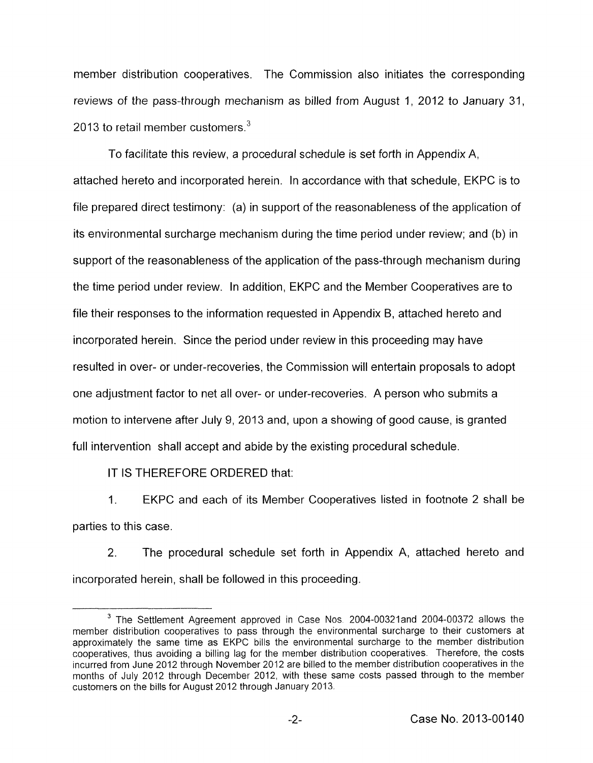member distribution cooperatives. The Commission also initiates the corresponding reviews of the pass-through mechanism as billed from August 1, 2012 to January 31, 2013 to retail member customers. $3$ 

To facilitate this review, a procedural schedule is set forth in Appendix A, attached hereto and incorporated herein. In accordance with that schedule, EKPC is to file prepared direct testimony: (a) in support of the reasonableness of the application of its environmental surcharge mechanism during the time period under review; and (b) in support of the reasonableness of the application of the pass-through mechanism during the time period under review. In addition, EKPC and the Member Cooperatives are to file their responses to the information requested in Appendix B, attached hereto and incorporated herein. Since the period under review in this proceeding may have resulted in over- or under-recoveries, the Commission will entertain proposals to adopt one adjustment factor to net all over- or under-recoveries. A person who submits a motion to intervene after July 9, 2013 and, upon a showing of good cause, is granted full intervention shall accept and abide by the existing procedural schedule.

IT IS THEREFORE ORDERED that:

1. EKPC and each of its Member Cooperatives listed in footnote 2 shall be parties to this case.

2. The procedural schedule set forth in Appendix A, attached hereto and incorporated herein, shall be followed in this proceeding.

<sup>&</sup>lt;sup>3</sup> The Settlement Agreement approved in Case Nos. 2004-00321 and 2004-00372 allows the member distribution cooperatives to pass through the environmental surcharge to their customers at approximately the same time as EKPC bills the environmental surcharge to the member distribution cooperatives, thus avoiding a billing lag for the member distribution cooperatives. Therefore, the costs incurred from June 2012 through November 2012 are billed to the member distribution cooperatives in the months of July 2012 through December 2012, with these same costs passed through to the member customers on the bills for August 2012 through January 2013.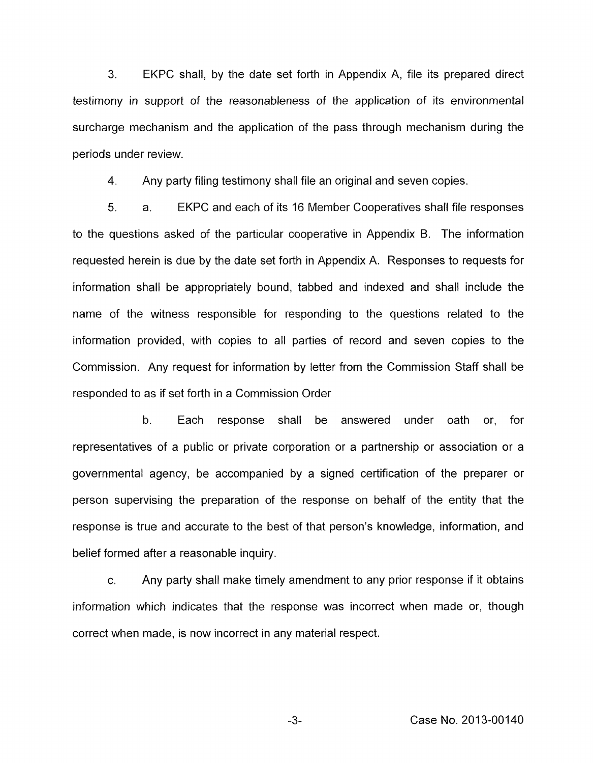**3.** EKPC shall, by the date set forth in Appendix A, file its prepared direct testimony in support of the reasonableness of the application of its environmental surcharge mechanism and the application of the pass through mechanism during the periods under review.

4. Any party filing testimony shall file an original and seven copies.

5. a. EKPC and each of its 16 Member Cooperatives shall file responses to the questions asked of the particular cooperative in Appendix B. The information requested herein is due by the date set forth in Appendix A. Responses to requests for information shall be appropriately bound, tabbed and indexed and shall include the name of the witness responsible for responding to the questions related to the information provided, with copies to all parties of record and seven copies to the Commission. Any request for information by letter from the Commission Staff shall be responded to as if set forth in a Commission Order

b. Each response shall be answered under oath or, for representatives of a public or private corporation or a partnership or association or a governmental agency, be accompanied by a signed certification of the preparer or person supervising the preparation of the response on behalf of the entity that the response is true and accurate to the best of that person's knowledge, information, and belief formed after a reasonable inquiry.

c. Any party shall make timely amendment to any prior response if it obtains information which indicates that the response was incorrect when made or, though correct when made, is now incorrect in any material respect.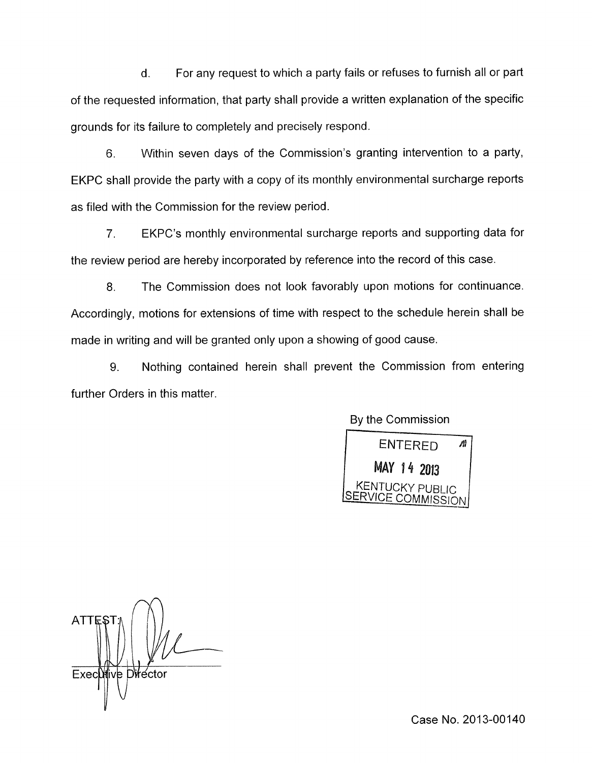d. For any request to which a party fails or refuses to furnish all or part of the requested information, that party shall provide a written explanation of the specific grounds for its failure to completely and precisely respond.

6. Within seven days of the Commission's granting intervention to a party, EKPC shall provide the party with a copy of its monthly environmental surcharge reports as filed with the Commission for the review period.

*7.* EKPC's monthly environmental surcharge reports and supporting data for the review period are hereby incorporated by reference into the record of this case.

8. The Commission does not look favorably upon motions for continuance. Accordingly, motions for extensions of time with respect to the schedule herein shall be made in writing and will be granted only upon a showing of good cause.

9. Nothing contained herein shall prevent the Commission from entering further Orders in this matter.

BY the Commission



ATTE Execotive Director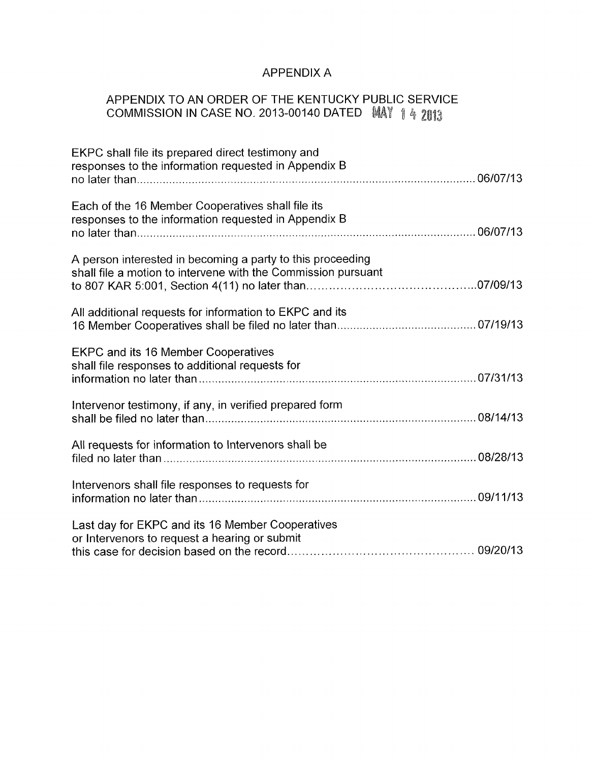## APPENDIX A

# APPENDIX TO AN ORDER OF THE KENTUCKY PUBLIC SERVICE COMMISSION IN CASE NO. 2013-00140 DATED MAY 1 4 2013

| EKPC shall file its prepared direct testimony and<br>responses to the information requested in Appendix B                   |  |
|-----------------------------------------------------------------------------------------------------------------------------|--|
| Each of the 16 Member Cooperatives shall file its<br>responses to the information requested in Appendix B                   |  |
| A person interested in becoming a party to this proceeding<br>shall file a motion to intervene with the Commission pursuant |  |
| All additional requests for information to EKPC and its                                                                     |  |
| <b>EKPC and its 16 Member Cooperatives</b><br>shall file responses to additional requests for                               |  |
| Intervenor testimony, if any, in verified prepared form                                                                     |  |
| All requests for information to Intervenors shall be                                                                        |  |
| Intervenors shall file responses to requests for                                                                            |  |
| Last day for EKPC and its 16 Member Cooperatives<br>or Intervenors to request a hearing or submit                           |  |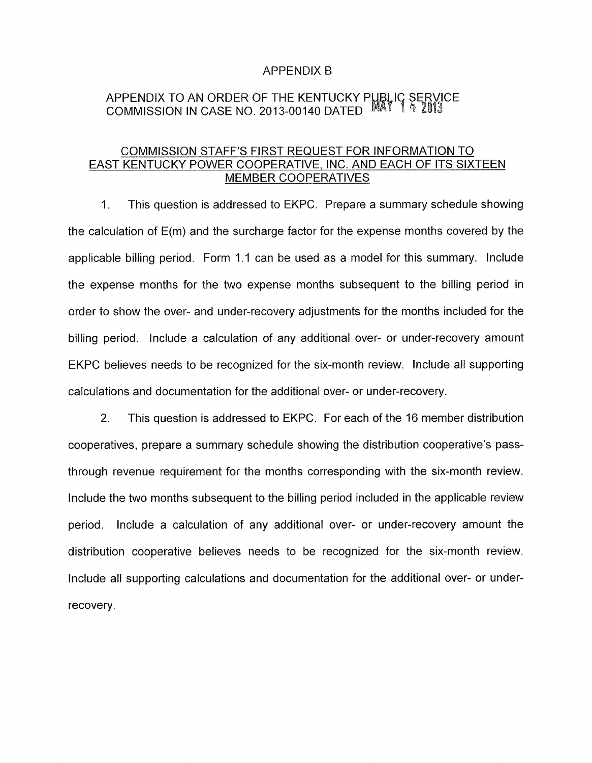### APPENDIX B

### APPENDIX TO AN ORDER OF THE KENTUCKY P COMMISSION IN CASE NO. 2013-00140 DATED

### COMMISSION STAFF'S FIRST REQUEST FOR INFORMATION TO EAST KENTUCKY POWER COOPERATIVE, INC. AND EACH OF ITS SIXTEEN MEMBER COOPERATIVES

1. This question is addressed to EKPC. Prepare a summary schedule showing the calculation of E(m) and the surcharge factor for the expense months covered by the applicable billing period. Form 1.1 can be used as a model for this summary. Include the expense months for the two expense months subsequent to the billing period in order to show the over- and under-recovery adjustments for the months included for the billing period. Include a calculation of any additional over- or under-recovery amount EKPC believes needs to be recognized for the six-month review. Include all supporting calculations and documentation for the additional over- or under-recovery.

2. This question is addressed to EKPC. For each of the 16 member distribution cooperatives, prepare a summary schedule showing the distribution cooperative's passthrough revenue requirement for the months corresponding with the six-month review. Include the two months subsequent to the billing period included in the applicable review period. Include a calculation of any additional over- or under-recovery amount the distribution cooperative believes needs to be recognized for the six-month review. Include all supporting calculations and documentation for the additional over- or underrecovery.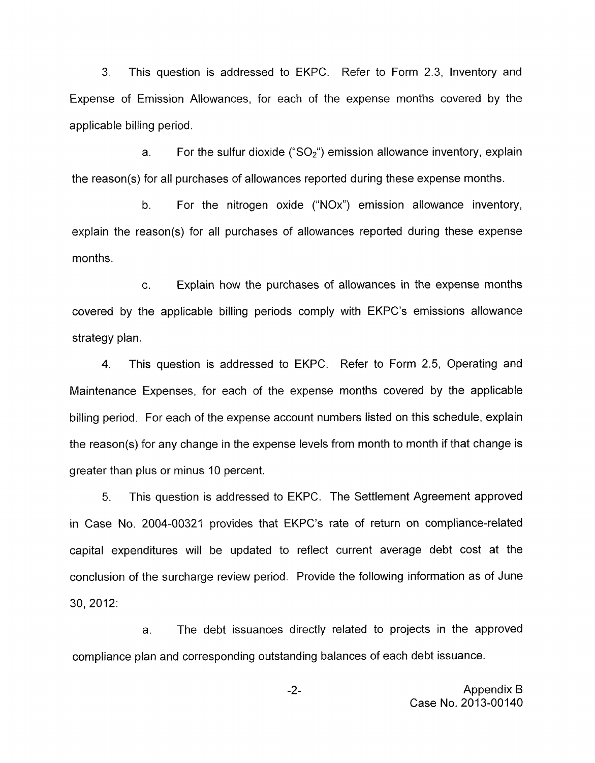3. This question is addressed to EKPC. Refer to Form 2.3, Inventory and Expense of Emission Allowances, for each of the expense months covered by the applicable billing period.

a. For the sulfur dioxide (" $SO<sub>2</sub>$ ") emission allowance inventory, explain the reason(s) for all purchases of allowances reported during these expense months.

b. For the nitrogen oxide ("NOx") emission allowance inventory, explain the reason(s) for all purchases of allowances reported during these expense months.

c. Explain how the purchases of allowances in the expense months covered by the applicable billing periods comply with EKPC's emissions allowance strategy plan.

4. This question is addressed to EKPC. Refer to Form 2.5, Operating and Maintenance Expenses, for each of the expense months covered by the applicable billing period. For each of the expense account numbers listed on this schedule, explain the reason(s) for any change in the expense levels from month to month if that change is greater than plus or minus 10 percent.

5. This question is addressed to EKPC. The Settlement Agreement approved in Case No. 2004-00321 provides that EKPC's rate of return on compliance-related capital expenditures will be updated to reflect current average debt cost at the conclusion of the surcharge review period. Provide the following information as of June 30, 2012:

a. The debt issuances directly related to projects in the approved compliance plan and corresponding outstanding balances of each debt issuance.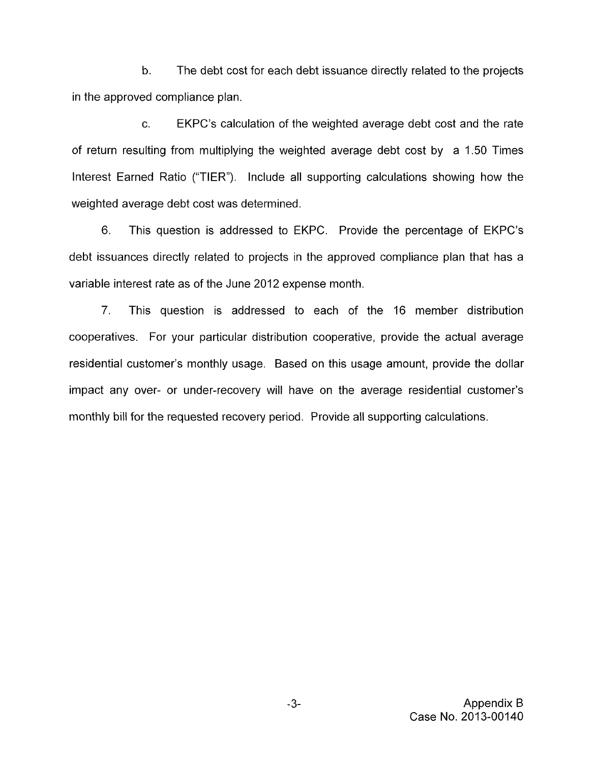b. The debt cost for each debt issuance directly related to the projects in the approved compliance plan.

c. EKPC's calculation of the weighted average debt cost and the rate of return resulting from multiplying the weighted average debt cost by a 1.50 Times Interest Earned Ratio ("TIER"). Include all supporting calculations showing how the weighted average debt cost was determined.

6. This question is addressed to EKPC. Provide the percentage of EKPC's debt issuances directly related to projects in the approved compliance plan that has a variable interest rate as of the June 2012 expense month.

7. This question is addressed to each of the 16 member distribution cooperatives. For your particular distribution cooperative, provide the actual average residential customer's monthly usage. Based on this usage amount, provide the dollar impact any over- or under-recovery will have on the average residential customer's monthly bill for the requested recovery period. Provide all supporting calculations.